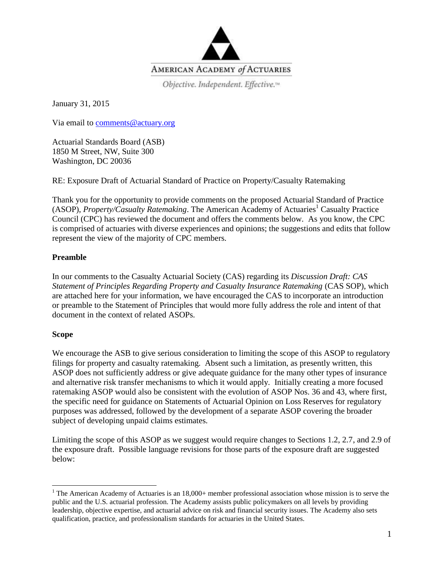

Objective. Independent. Effective.<sup>14</sup>

January 31, 2015

Via email to [comments@actuary.org](mailto:comments@actuary.org)

Actuarial Standards Board (ASB) 1850 M Street, NW, Suite 300 Washington, DC 20036

RE: Exposure Draft of Actuarial Standard of Practice on Property/Casualty Ratemaking

Thank you for the opportunity to provide comments on the proposed Actuarial Standard of Practice (ASOP), *Property/Casualty Ratemaking*. The American Academy of Actuaries<sup>1</sup> Casualty Practice Council (CPC) has reviewed the document and offers the comments below. As you know, the CPC is comprised of actuaries with diverse experiences and opinions; the suggestions and edits that follow represent the view of the majority of CPC members.

# **Preamble**

In our comments to the Casualty Actuarial Society (CAS) regarding its *Discussion Draft: CAS Statement of Principles Regarding Property and Casualty Insurance Ratemaking* (CAS SOP), which are attached here for your information, we have encouraged the CAS to incorporate an introduction or preamble to the Statement of Principles that would more fully address the role and intent of that document in the context of related ASOPs.

# **Scope**

 $\overline{\phantom{a}}$ 

We encourage the ASB to give serious consideration to limiting the scope of this ASOP to regulatory filings for property and casualty ratemaking. Absent such a limitation, as presently written, this ASOP does not sufficiently address or give adequate guidance for the many other types of insurance and alternative risk transfer mechanisms to which it would apply. Initially creating a more focused ratemaking ASOP would also be consistent with the evolution of ASOP Nos. 36 and 43, where first, the specific need for guidance on Statements of Actuarial Opinion on Loss Reserves for regulatory purposes was addressed, followed by the development of a separate ASOP covering the broader subject of developing unpaid claims estimates.

Limiting the scope of this ASOP as we suggest would require changes to Sections 1.2, 2.7, and 2.9 of the exposure draft. Possible language revisions for those parts of the exposure draft are suggested below:

<sup>&</sup>lt;sup>1</sup> The American Academy of Actuaries is an  $18,000+$  member professional association whose mission is to serve the public and the U.S. actuarial profession. The Academy assists public policymakers on all levels by providing leadership, objective expertise, and actuarial advice on risk and financial security issues. The Academy also sets qualification, practice, and professionalism standards for actuaries in the United States.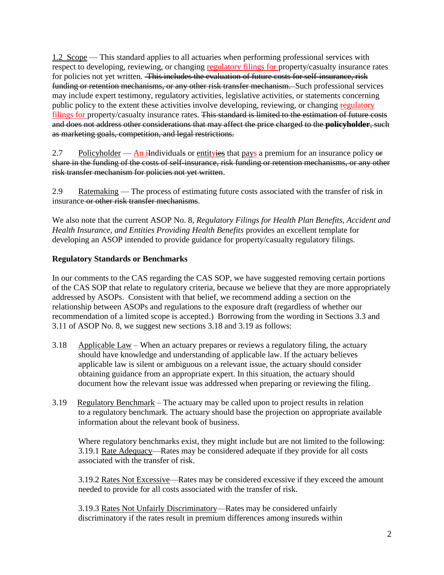1.2 Scope — This standard applies to all actuaries when performing professional services with respect to developing, reviewing, or changing regulatory filings for property/casualty insurance rates for policies not yet written. This includes the evaluation of future costs for self-insurance, risk funding or retention mechanisms, or any other risk transfer mechanism. Such professional services may include expert testimony, regulatory activities, legislative activities, or statements concerning public policy to the extent these activities involve developing, reviewing, or changing regulatory filings for property/casualty insurance rates. This standard is limited to the estimation of future costs and does not address other considerations that may affect the price charged to the **policyholder**, such as marketing goals, competition, and legal restrictions.

2.7 Policyholder — An iIndividuals or entityies that pays a premium for an insurance policy  $\theta$ share in the funding of the costs of self-insurance, risk funding or retention mechanisms, or any other risk transfer mechanism for policies not yet written.

2.9 Ratemaking — The process of estimating future costs associated with the transfer of risk in insurance or other risk transfer mechanisms.

We also note that the current ASOP No. 8, *Regulatory Filings for Health Plan Benefits, Accident and Health Insurance, and Entities Providing Health Benefits* provides an excellent template for developing an ASOP intended to provide guidance for property/casualty regulatory filings.

# **Regulatory Standards or Benchmarks**

In our comments to the CAS regarding the CAS SOP, we have suggested removing certain portions of the CAS SOP that relate to regulatory criteria, because we believe that they are more appropriately addressed by ASOPs. Consistent with that belief, we recommend adding a section on the relationship between ASOPs and regulations to the exposure draft (regardless of whether our recommendation of a limited scope is accepted.) Borrowing from the wording in Sections 3.3 and 3.11 of ASOP No. 8, we suggest new sections 3.18 and 3.19 as follows:

- 3.18 Applicable Law When an actuary prepares or reviews a regulatory filing, the actuary should have knowledge and understanding of applicable law. If the actuary believes applicable law is silent or ambiguous on a relevant issue, the actuary should consider obtaining guidance from an appropriate expert. In this situation, the actuary should document how the relevant issue was addressed when preparing or reviewing the filing.
- 3.19 Regulatory Benchmark The actuary may be called upon to project results in relation to a regulatory benchmark. The actuary should base the projection on appropriate available information about the relevant book of business.

Where regulatory benchmarks exist, they might include but are not limited to the following: 3.19.1 Rate Adequacy—Rates may be considered adequate if they provide for all costs associated with the transfer of risk.

3.19.2 Rates Not Excessive—Rates may be considered excessive if they exceed the amount needed to provide for all costs associated with the transfer of risk.

3.19.3 Rates Not Unfairly Discriminatory—Rates may be considered unfairly discriminatory if the rates result in premium differences among insureds within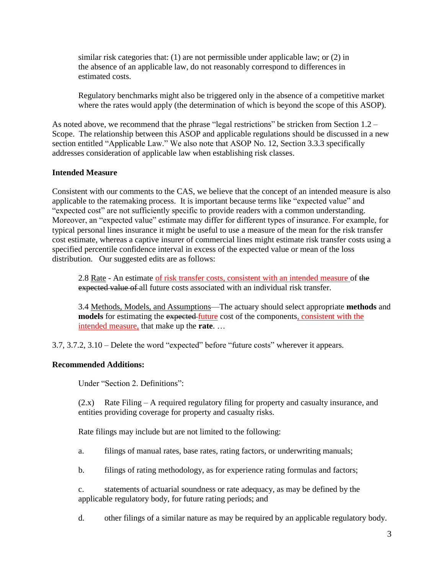similar risk categories that: (1) are not permissible under applicable law; or (2) in the absence of an applicable law, do not reasonably correspond to differences in estimated costs.

Regulatory benchmarks might also be triggered only in the absence of a competitive market where the rates would apply (the determination of which is beyond the scope of this ASOP).

As noted above, we recommend that the phrase "legal restrictions" be stricken from Section 1.2 – Scope. The relationship between this ASOP and applicable regulations should be discussed in a new section entitled "Applicable Law." We also note that ASOP No. 12, Section 3.3.3 specifically addresses consideration of applicable law when establishing risk classes.

# **Intended Measure**

Consistent with our comments to the CAS, we believe that the concept of an intended measure is also applicable to the ratemaking process. It is important because terms like "expected value" and "expected cost" are not sufficiently specific to provide readers with a common understanding. Moreover, an "expected value" estimate may differ for different types of insurance. For example, for typical personal lines insurance it might be useful to use a measure of the mean for the risk transfer cost estimate, whereas a captive insurer of commercial lines might estimate risk transfer costs using a specified percentile confidence interval in excess of the expected value or mean of the loss distribution. Our suggested edits are as follows:

2.8 Rate - An estimate of risk transfer costs, consistent with an intended measure of the expected value of all future costs associated with an individual risk transfer.

3.4 Methods, Models, and Assumptions—The actuary should select appropriate **methods** and **models** for estimating the expected future cost of the components, consistent with the intended measure, that make up the **rate**. …

3.7, 3.7.2, 3.10 – Delete the word "expected" before "future costs" wherever it appears.

### **Recommended Additions:**

Under "Section 2. Definitions":

(2.x) Rate Filing – A required regulatory filing for property and casualty insurance, and entities providing coverage for property and casualty risks.

Rate filings may include but are not limited to the following:

a. filings of manual rates, base rates, rating factors, or underwriting manuals;

b. filings of rating methodology, as for experience rating formulas and factors;

c. statements of actuarial soundness or rate adequacy, as may be defined by the applicable regulatory body, for future rating periods; and

d. other filings of a similar nature as may be required by an applicable regulatory body.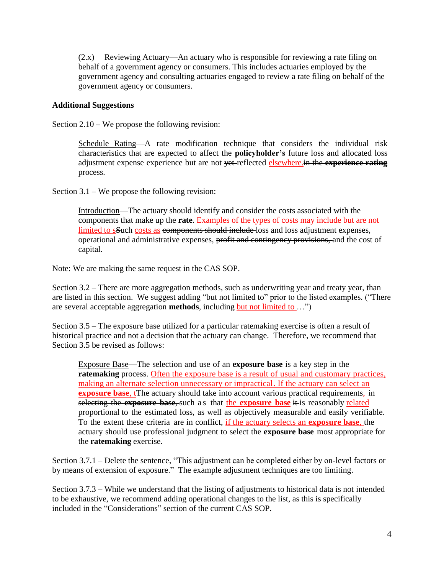(2.x) Reviewing Actuary—An actuary who is responsible for reviewing a rate filing on behalf of a government agency or consumers. This includes actuaries employed by the government agency and consulting actuaries engaged to review a rate filing on behalf of the government agency or consumers.

### **Additional Suggestions**

Section 2.10 – We propose the following revision:

Schedule Rating—A rate modification technique that considers the individual risk characteristics that are expected to affect the **policyholder's** future loss and allocated loss adjustment expense experience but are not yet reflected elsewhere.in the **experience rating** process.

Section 3.1 – We propose the following revision:

Introduction—The actuary should identify and consider the costs associated with the components that make up the **rate**. Examples of the types of costs may include but are not limited to sSuch costs as components should include loss and loss adjustment expenses, operational and administrative expenses, profit and contingency provisions, and the cost of capital.

Note: We are making the same request in the CAS SOP.

Section 3.2 – There are more aggregation methods, such as underwriting year and treaty year, than are listed in this section. We suggest adding "but not limited to" prior to the listed examples. ("There are several acceptable aggregation **methods**, including but not limited to …")

Section 3.5 – The exposure base utilized for a particular ratemaking exercise is often a result of historical practice and not a decision that the actuary can change. Therefore, we recommend that Section 3.5 be revised as follows:

Exposure Base—The selection and use of an **exposure base** is a key step in the ratemaking process. Often the exposure base is a result of usual and customary practices, making an alternate selection unnecessary or impractical. If the actuary can select an **exposure base**, t<sub>T</sub>he actuary should take into account various practical requirements, in selecting the **exposure base**, such a s that the **exposure base** it is reasonably related proportional to the estimated loss, as well as objectively measurable and easily verifiable. To the extent these criteria are in conflict, if the actuary selects an **exposure base**, the actuary should use professional judgment to select the **exposure base** most appropriate for the **ratemaking** exercise.

Section 3.7.1 – Delete the sentence, "This adjustment can be completed either by on-level factors or by means of extension of exposure." The example adjustment techniques are too limiting.

Section 3.7.3 – While we understand that the listing of adjustments to historical data is not intended to be exhaustive, we recommend adding operational changes to the list, as this is specifically included in the "Considerations" section of the current CAS SOP.